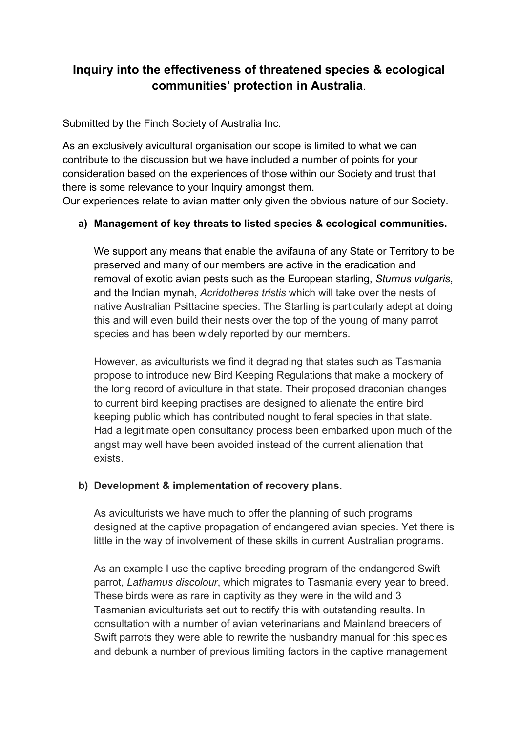## **Inquiry into the effectiveness of threatened species & ecological communities' protection in Australia**.

Submitted by the Finch Society of Australia Inc.

As an exclusively avicultural organisation our scope is limited to what we can contribute to the discussion but we have included a number of points for your consideration based on the experiences of those within our Society and trust that there is some relevance to your Inquiry amongst them.

Our experiences relate to avian matter only given the obvious nature of our Society.

## **a) Management of key threats to listed species & ecological communities.**

We support any means that enable the avifauna of any State or Territory to be preserved and many of our members are active in the eradication and removal of exotic avian pests such as the European starling, *Sturnus vulgaris*, and the Indian mynah, *Acridotheres tristis* which will take over the nests of native Australian Psittacine species. The Starling is particularly adept at doing this and will even build their nests over the top of the young of many parrot species and has been widely reported by our members.

However, as aviculturists we find it degrading that states such as Tasmania propose to introduce new Bird Keeping Regulations that make a mockery of the long record of aviculture in that state. Their proposed draconian changes to current bird keeping practises are designed to alienate the entire bird keeping public which has contributed nought to feral species in that state. Had a legitimate open consultancy process been embarked upon much of the angst may well have been avoided instead of the current alienation that exists.

## **b) Development & implementation of recovery plans.**

As aviculturists we have much to offer the planning of such programs designed at the captive propagation of endangered avian species. Yet there is little in the way of involvement of these skills in current Australian programs.

As an example I use the captive breeding program of the endangered Swift parrot, *Lathamus discolour*, which migrates to Tasmania every year to breed. These birds were as rare in captivity as they were in the wild and 3 Tasmanian aviculturists set out to rectify this with outstanding results. In consultation with a number of avian veterinarians and Mainland breeders of Swift parrots they were able to rewrite the husbandry manual for this species and debunk a number of previous limiting factors in the captive management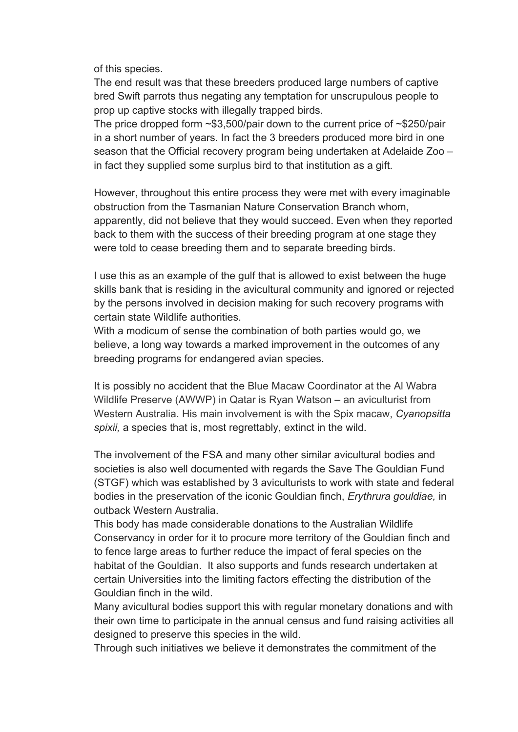of this species.

The end result was that these breeders produced large numbers of captive bred Swift parrots thus negating any temptation for unscrupulous people to prop up captive stocks with illegally trapped birds.

The price dropped form  $\sim$ \$3,500/pair down to the current price of  $\sim$ \$250/pair in a short number of years. In fact the 3 breeders produced more bird in one season that the Official recovery program being undertaken at Adelaide Zoo – in fact they supplied some surplus bird to that institution as a gift.

However, throughout this entire process they were met with every imaginable obstruction from the Tasmanian Nature Conservation Branch whom, apparently, did not believe that they would succeed. Even when they reported back to them with the success of their breeding program at one stage they were told to cease breeding them and to separate breeding birds.

I use this as an example of the gulf that is allowed to exist between the huge skills bank that is residing in the avicultural community and ignored or rejected by the persons involved in decision making for such recovery programs with certain state Wildlife authorities.

With a modicum of sense the combination of both parties would go, we believe, a long way towards a marked improvement in the outcomes of any breeding programs for endangered avian species.

It is possibly no accident that the Blue Macaw Coordinator at the Al Wabra Wildlife Preserve (AWWP) in Qatar is Ryan Watson – an aviculturist from Western Australia. His main involvement is with the Spix macaw, *Cyanopsitta spixii,* a species that is, most regrettably, extinct in the wild.

The involvement of the FSA and many other similar avicultural bodies and societies is also well documented with regards the Save The Gouldian Fund (STGF) which was established by 3 aviculturists to work with state and federal bodies in the preservation of the iconic Gouldian finch, *Erythrura gouldiae,* in outback Western Australia.

This body has made considerable donations to the Australian Wildlife Conservancy in order for it to procure more territory of the Gouldian finch and to fence large areas to further reduce the impact of feral species on the habitat of the Gouldian. It also supports and funds research undertaken at certain Universities into the limiting factors effecting the distribution of the Gouldian finch in the wild.

Many avicultural bodies support this with regular monetary donations and with their own time to participate in the annual census and fund raising activities all designed to preserve this species in the wild.

Through such initiatives we believe it demonstrates the commitment of the